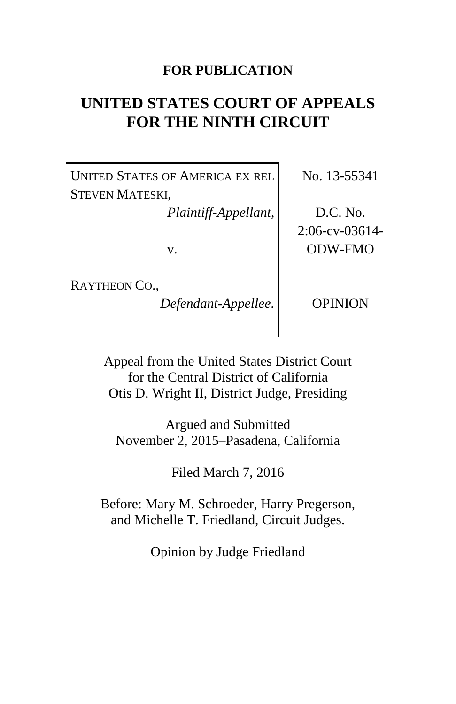# **FOR PUBLICATION**

# **UNITED STATES COURT OF APPEALS FOR THE NINTH CIRCUIT**

UNITED STATES OF AMERICA EX REL STEVEN MATESKI,

*Plaintiff-Appellant*,

v.

RAYTHEON CO.,

*Defendant-Appellee*.

No. 13-55341

D.C. No. 2:06-cv-03614- ODW-FMO

OPINION

Appeal from the United States District Court for the Central District of California Otis D. Wright II, District Judge, Presiding

Argued and Submitted November 2, 2015–Pasadena, California

Filed March 7, 2016

Before: Mary M. Schroeder, Harry Pregerson, and Michelle T. Friedland, Circuit Judges.

Opinion by Judge Friedland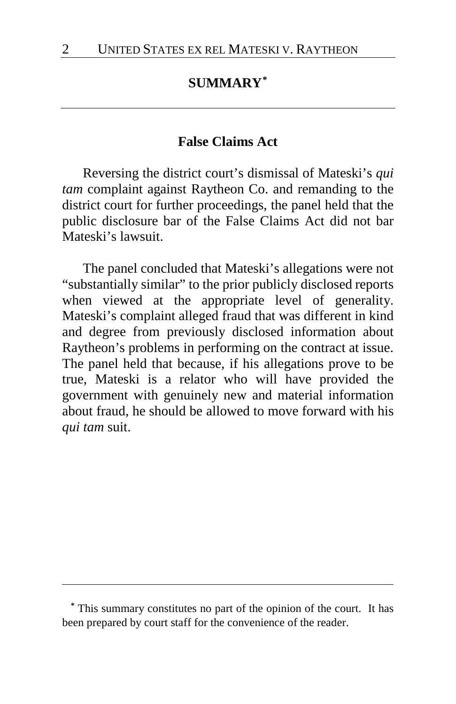## **SUMMARY[\\*](#page-1-0)**

#### **False Claims Act**

Reversing the district court's dismissal of Mateski's *qui tam* complaint against Raytheon Co. and remanding to the district court for further proceedings, the panel held that the public disclosure bar of the False Claims Act did not bar Mateski's lawsuit.

The panel concluded that Mateski's allegations were not "substantially similar" to the prior publicly disclosed reports when viewed at the appropriate level of generality. Mateski's complaint alleged fraud that was different in kind and degree from previously disclosed information about Raytheon's problems in performing on the contract at issue. The panel held that because, if his allegations prove to be true, Mateski is a relator who will have provided the government with genuinely new and material information about fraud, he should be allowed to move forward with his *qui tam* suit.

<span id="page-1-0"></span>**\*** This summary constitutes no part of the opinion of the court. It has been prepared by court staff for the convenience of the reader.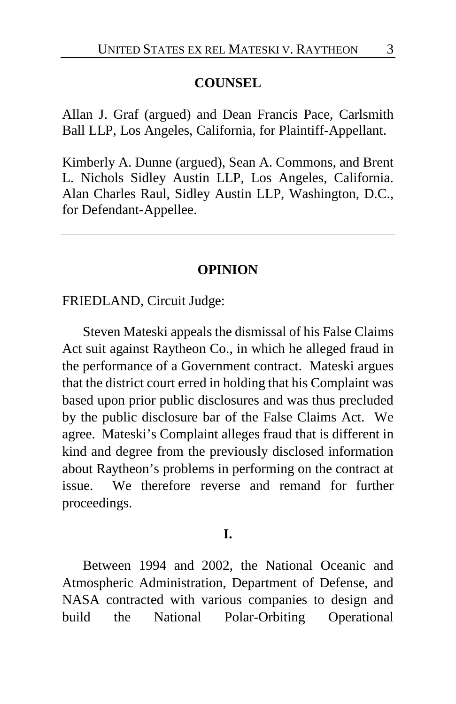#### **COUNSEL**

Allan J. Graf (argued) and Dean Francis Pace, Carlsmith Ball LLP, Los Angeles, California, for Plaintiff-Appellant.

Kimberly A. Dunne (argued), Sean A. Commons, and Brent L. Nichols Sidley Austin LLP, Los Angeles, California. Alan Charles Raul, Sidley Austin LLP, Washington, D.C., for Defendant-Appellee.

#### **OPINION**

FRIEDLAND, Circuit Judge:

Steven Mateski appeals the dismissal of his False Claims Act suit against Raytheon Co., in which he alleged fraud in the performance of a Government contract. Mateski argues that the district court erred in holding that his Complaint was based upon prior public disclosures and was thus precluded by the public disclosure bar of the False Claims Act. We agree. Mateski's Complaint alleges fraud that is different in kind and degree from the previously disclosed information about Raytheon's problems in performing on the contract at issue. We therefore reverse and remand for further proceedings.

#### **I.**

Between 1994 and 2002, the National Oceanic and Atmospheric Administration, Department of Defense, and NASA contracted with various companies to design and build the National Polar-Orbiting Operational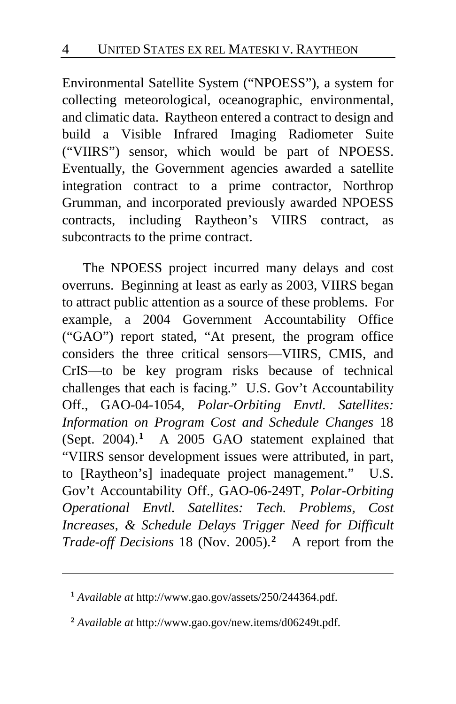Environmental Satellite System ("NPOESS"), a system for collecting meteorological, oceanographic, environmental, and climatic data. Raytheon entered a contract to design and build a Visible Infrared Imaging Radiometer Suite ("VIIRS") sensor, which would be part of NPOESS. Eventually, the Government agencies awarded a satellite integration contract to a prime contractor, Northrop Grumman, and incorporated previously awarded NPOESS contracts, including Raytheon's VIIRS contract, as subcontracts to the prime contract.

The NPOESS project incurred many delays and cost overruns. Beginning at least as early as 2003, VIIRS began to attract public attention as a source of these problems. For example, a 2004 Government Accountability Office ("GAO") report stated, "At present, the program office considers the three critical sensors—VIIRS, CMIS, and CrIS—to be key program risks because of technical challenges that each is facing." U.S. Gov't Accountability Off., GAO-04-1054, *Polar-Orbiting Envtl. Satellites: Information on Program Cost and Schedule Changes* 18 (Sept. 2004).**[1](#page-3-0)** A 2005 GAO statement explained that "VIIRS sensor development issues were attributed, in part, to [Raytheon's] inadequate project management." U.S. Gov't Accountability Off., GAO-06-249T, *Polar-Orbiting Operational Envtl. Satellites: Tech. Problems, Cost Increases, & Schedule Delays Trigger Need for Difficult Trade-off Decisions* 18 (Nov. 2005).**[2](#page-3-1)** A report from the

<span id="page-3-0"></span>**<sup>1</sup>** *Available at* http://www.gao.gov/assets/250/244364.pdf.

<span id="page-3-1"></span>**<sup>2</sup>** *Available at* http://www.gao.gov/new.items/d06249t.pdf.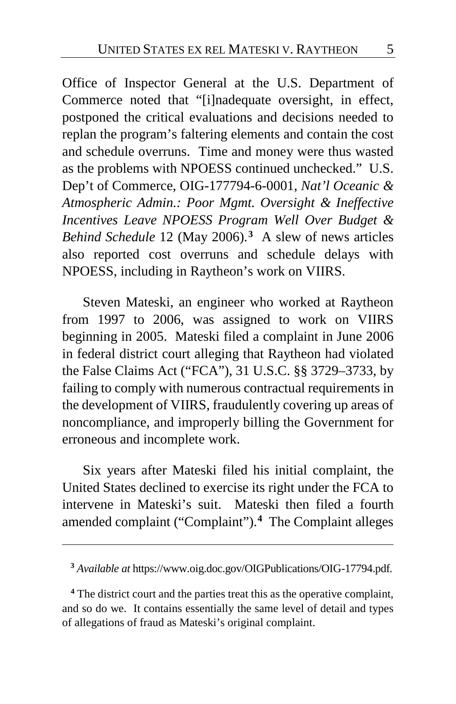Office of Inspector General at the U.S. Department of Commerce noted that "[i]nadequate oversight, in effect, postponed the critical evaluations and decisions needed to replan the program's faltering elements and contain the cost and schedule overruns. Time and money were thus wasted as the problems with NPOESS continued unchecked." U.S. Dep't of Commerce, OIG-177794-6-0001, *Nat'l Oceanic & Atmospheric Admin.: Poor Mgmt. Oversight & Ineffective Incentives Leave NPOESS Program Well Over Budget & Behind Schedule* 12 (May 2006).**[3](#page-4-0)** A slew of news articles also reported cost overruns and schedule delays with NPOESS, including in Raytheon's work on VIIRS.

Steven Mateski, an engineer who worked at Raytheon from 1997 to 2006, was assigned to work on VIIRS beginning in 2005. Mateski filed a complaint in June 2006 in federal district court alleging that Raytheon had violated the False Claims Act ("FCA"), 31 U.S.C. §§ 3729–3733, by failing to comply with numerous contractual requirements in the development of VIIRS, fraudulently covering up areas of noncompliance, and improperly billing the Government for erroneous and incomplete work.

Six years after Mateski filed his initial complaint, the United States declined to exercise its right under the FCA to intervene in Mateski's suit. Mateski then filed a fourth amended complaint ("Complaint").**[4](#page-4-1)** The Complaint alleges

 $\overline{a}$ 

<span id="page-4-1"></span><span id="page-4-0"></span> **<sup>4</sup>** The district court and the parties treat this as the operative complaint, and so do we. It contains essentially the same level of detail and types of allegations of fraud as Mateski's original complaint.

**<sup>3</sup>** *Available at* https://www.oig.doc.gov/OIGPublications/OIG-17794.pdf.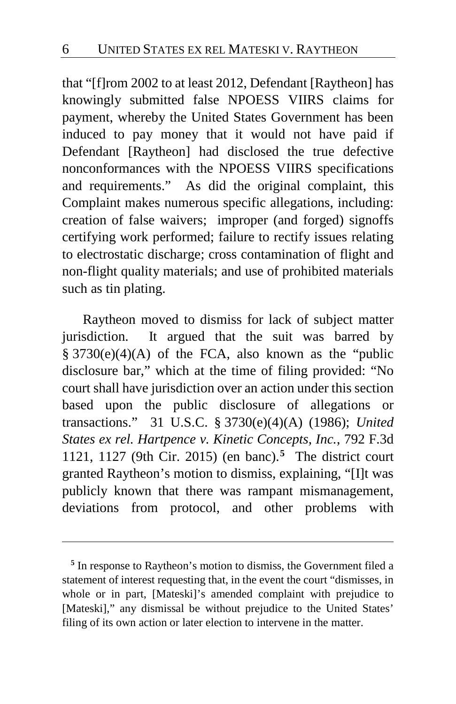that "[f]rom 2002 to at least 2012, Defendant [Raytheon] has knowingly submitted false NPOESS VIIRS claims for payment, whereby the United States Government has been induced to pay money that it would not have paid if Defendant [Raytheon] had disclosed the true defective nonconformances with the NPOESS VIIRS specifications and requirements." As did the original complaint, this Complaint makes numerous specific allegations, including: creation of false waivers; improper (and forged) signoffs certifying work performed; failure to rectify issues relating to electrostatic discharge; cross contamination of flight and non-flight quality materials; and use of prohibited materials such as tin plating.

Raytheon moved to dismiss for lack of subject matter jurisdiction. It argued that the suit was barred by § 3730(e)(4)(A) of the FCA, also known as the "public disclosure bar," which at the time of filing provided: "No court shall have jurisdiction over an action under this section based upon the public disclosure of allegations or transactions." 31 U.S.C. § 3730(e)(4)(A) (1986); *United States ex rel. Hartpence v. Kinetic Concepts, Inc.*, 792 F.3d 1121, 1127 (9th Cir. 2015) (en banc).**[5](#page-5-0)** The district court granted Raytheon's motion to dismiss, explaining, "[I]t was publicly known that there was rampant mismanagement, deviations from protocol, and other problems with

<span id="page-5-0"></span>**<sup>5</sup>** In response to Raytheon's motion to dismiss, the Government filed a statement of interest requesting that, in the event the court "dismisses, in whole or in part, [Mateski]'s amended complaint with prejudice to [Mateski]," any dismissal be without prejudice to the United States' filing of its own action or later election to intervene in the matter.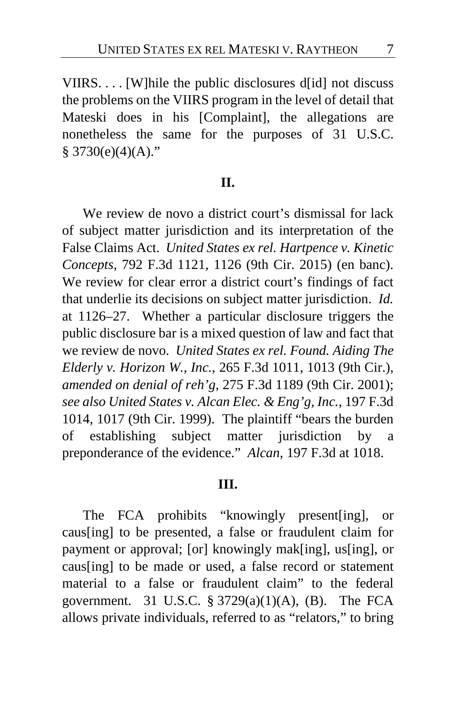VIIRS. . . . [W]hile the public disclosures d[id] not discuss the problems on the VIIRS program in the level of detail that Mateski does in his [Complaint], the allegations are nonetheless the same for the purposes of 31 U.S.C.  $§ 3730(e)(4)(A)."$ 

#### **II.**

We review de novo a district court's dismissal for lack of subject matter jurisdiction and its interpretation of the False Claims Act. *United States ex rel. Hartpence v. Kinetic Concepts*, 792 F.3d 1121, 1126 (9th Cir. 2015) (en banc). We review for clear error a district court's findings of fact that underlie its decisions on subject matter jurisdiction. *Id.*  at 1126–27. Whether a particular disclosure triggers the public disclosure bar is a mixed question of law and fact that we review de novo. *United States ex rel. Found. Aiding The Elderly v. Horizon W., Inc.*, 265 F.3d 1011, 1013 (9th Cir.), *amended on denial of reh'g*, 275 F.3d 1189 (9th Cir. 2001); *see also United States v. Alcan Elec. & Eng'g, Inc.*, 197 F.3d 1014, 1017 (9th Cir. 1999). The plaintiff "bears the burden of establishing subject matter jurisdiction by a preponderance of the evidence." *Alcan*, 197 F.3d at 1018.

#### **III.**

The FCA prohibits "knowingly present[ing], or caus[ing] to be presented, a false or fraudulent claim for payment or approval; [or] knowingly mak[ing], us[ing], or caus[ing] to be made or used, a false record or statement material to a false or fraudulent claim" to the federal government. 31 U.S.C.  $\S 3729(a)(1)(A)$ , (B). The FCA allows private individuals, referred to as "relators," to bring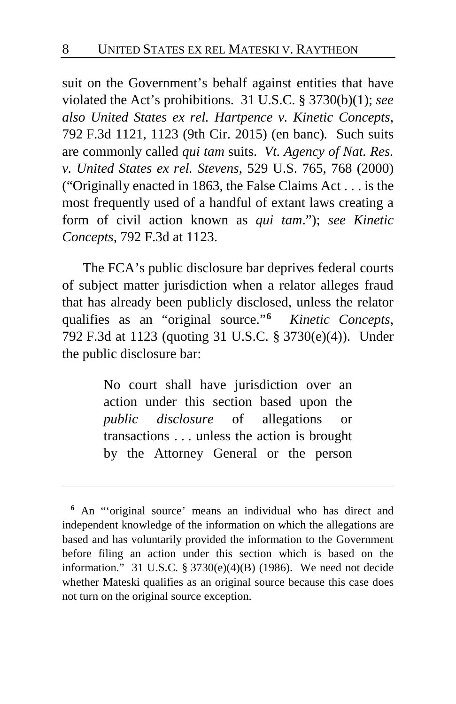suit on the Government's behalf against entities that have violated the Act's prohibitions. 31 U.S.C. § 3730(b)(1); *see also United States ex rel. Hartpence v. Kinetic Concepts*, 792 F.3d 1121, 1123 (9th Cir. 2015) (en banc)*.* Such suits are commonly called *qui tam* suits. *Vt. Agency of Nat. Res. v. United States ex rel. Stevens*, 529 U.S. 765, 768 (2000) ("Originally enacted in 1863, the False Claims Act . . . is the most frequently used of a handful of extant laws creating a form of civil action known as *qui tam*."); *see Kinetic Concepts*, 792 F.3d at 1123.

The FCA's public disclosure bar deprives federal courts of subject matter jurisdiction when a relator alleges fraud that has already been publicly disclosed, unless the relator qualifies as an "original source."**[6](#page-7-0)** *Kinetic Concepts*, 792 F.3d at 1123 (quoting 31 U.S.C. § 3730(e)(4)). Under the public disclosure bar:

> No court shall have jurisdiction over an action under this section based upon the *public disclosure* of allegations or transactions . . . unless the action is brought by the Attorney General or the person

<span id="page-7-0"></span>**<sup>6</sup>** An "'original source' means an individual who has direct and independent knowledge of the information on which the allegations are based and has voluntarily provided the information to the Government before filing an action under this section which is based on the information." 31 U.S.C. § 3730(e)(4)(B) (1986). We need not decide whether Mateski qualifies as an original source because this case does not turn on the original source exception.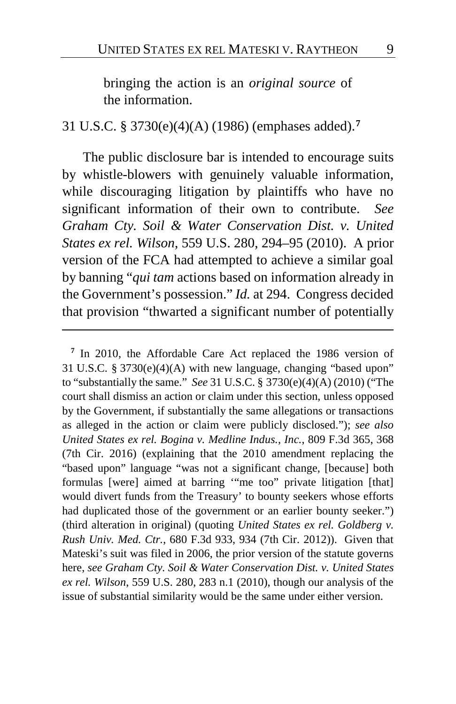bringing the action is an *original source* of the information.

31 U.S.C. § 3730(e)(4)(A) (1986) (emphases added).**[7](#page-8-0)**

The public disclosure bar is intended to encourage suits by whistle-blowers with genuinely valuable information, while discouraging litigation by plaintiffs who have no significant information of their own to contribute. *See Graham Cty. Soil & Water Conservation Dist. v. United States ex rel. Wilson*, 559 U.S. 280, 294–95 (2010). A prior version of the FCA had attempted to achieve a similar goal by banning "*qui tam* actions based on information already in the Government's possession." *Id.* at 294. Congress decided that provision "thwarted a significant number of potentially

<span id="page-8-0"></span>**<sup>7</sup>** In 2010, the Affordable Care Act replaced the 1986 version of 31 U.S.C. § 3730(e)(4)(A) with new language, changing "based upon" to "substantially the same." *See* 31 U.S.C. § 3730(e)(4)(A) (2010) ("The court shall dismiss an action or claim under this section, unless opposed by the Government, if substantially the same allegations or transactions as alleged in the action or claim were publicly disclosed."); *see also United States ex rel. Bogina v. Medline Indus., Inc.*, 809 F.3d 365, 368 (7th Cir. 2016) (explaining that the 2010 amendment replacing the "based upon" language "was not a significant change, [because] both formulas [were] aimed at barring '"me too" private litigation [that] would divert funds from the Treasury' to bounty seekers whose efforts had duplicated those of the government or an earlier bounty seeker.") (third alteration in original) (quoting *United States ex rel. Goldberg v. Rush Univ. Med. Ctr.*, 680 F.3d 933, 934 (7th Cir. 2012)). Given that Mateski's suit was filed in 2006, the prior version of the statute governs here, *see Graham Cty. Soil & Water Conservation Dist. v. United States ex rel. Wilson*, 559 U.S. 280, 283 n.1 (2010), though our analysis of the issue of substantial similarity would be the same under either version.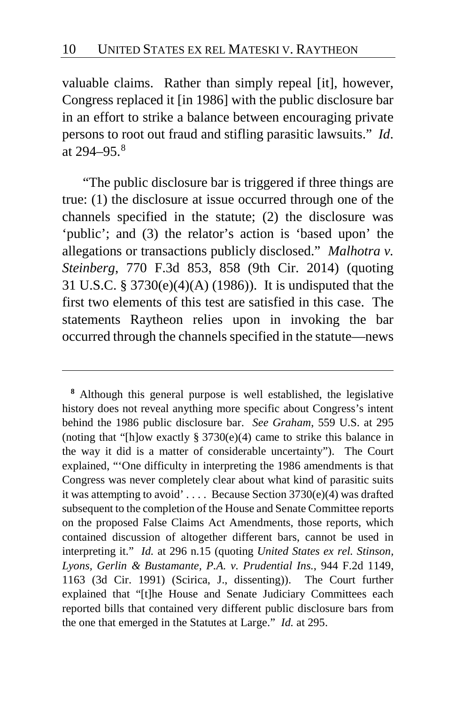valuable claims. Rather than simply repeal [it], however, Congress replaced it [in 1986] with the public disclosure bar in an effort to strike a balance between encouraging private persons to root out fraud and stifling parasitic lawsuits." *Id*. at  $294 - 95$ .<sup>[8](#page-9-0)</sup>

"The public disclosure bar is triggered if three things are true: (1) the disclosure at issue occurred through one of the channels specified in the statute; (2) the disclosure was 'public'; and (3) the relator's action is 'based upon' the allegations or transactions publicly disclosed." *Malhotra v. Steinberg*, 770 F.3d 853, 858 (9th Cir. 2014) (quoting 31 U.S.C. § 3730(e)(4)(A) (1986)). It is undisputed that the first two elements of this test are satisfied in this case. The statements Raytheon relies upon in invoking the bar occurred through the channels specified in the statute—news

<span id="page-9-0"></span>**<sup>8</sup>** Although this general purpose is well established, the legislative history does not reveal anything more specific about Congress's intent behind the 1986 public disclosure bar. *See Graham*, 559 U.S. at 295 (noting that "[h]ow exactly  $\S 3730(e)(4)$  came to strike this balance in the way it did is a matter of considerable uncertainty"). The Court explained, "'One difficulty in interpreting the 1986 amendments is that Congress was never completely clear about what kind of parasitic suits it was attempting to avoid' . . . . Because Section 3730(e)(4) was drafted subsequent to the completion of the House and Senate Committee reports on the proposed False Claims Act Amendments, those reports, which contained discussion of altogether different bars, cannot be used in interpreting it." *Id.* at 296 n.15 (quoting *United States ex rel. Stinson, Lyons, Gerlin & Bustamante, P.A. v. Prudential Ins.*, 944 F.2d 1149, 1163 (3d Cir. 1991) (Scirica, J., dissenting)). The Court further explained that "[t]he House and Senate Judiciary Committees each reported bills that contained very different public disclosure bars from the one that emerged in the Statutes at Large." *Id.* at 295.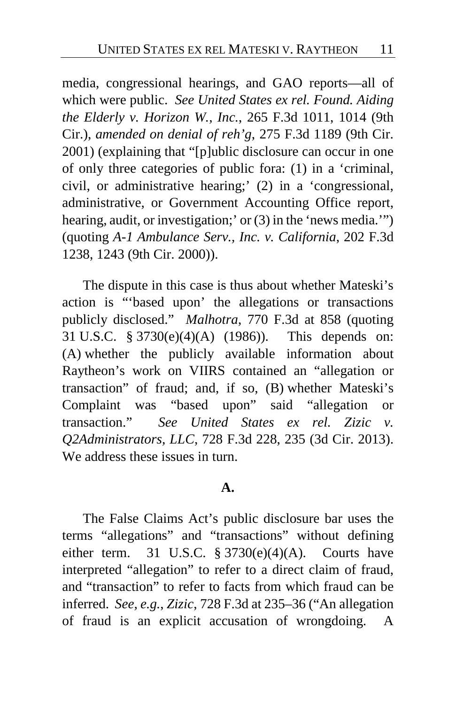media, congressional hearings, and GAO reports—all of which were public. *See United States ex rel. Found. Aiding the Elderly v. Horizon W., Inc.*, 265 F.3d 1011, 1014 (9th Cir.), *amended on denial of reh'g*, 275 F.3d 1189 (9th Cir. 2001) (explaining that "[p]ublic disclosure can occur in one of only three categories of public fora: (1) in a 'criminal, civil, or administrative hearing;' (2) in a 'congressional, administrative, or Government Accounting Office report, hearing, audit, or investigation; or (3) in the 'news media.'") (quoting *A-1 Ambulance Serv., Inc. v. California*, 202 F.3d 1238, 1243 (9th Cir. 2000)).

The dispute in this case is thus about whether Mateski's action is "'based upon' the allegations or transactions publicly disclosed." *Malhotra*, 770 F.3d at 858 (quoting 31 U.S.C. § 3730(e)(4)(A) (1986)). This depends on: (A) whether the publicly available information about Raytheon's work on VIIRS contained an "allegation or transaction" of fraud; and, if so, (B) whether Mateski's Complaint was "based upon" said "allegation or transaction." *See United States ex rel. Zizic v. Q2Administrators, LLC*, 728 F.3d 228, 235 (3d Cir. 2013). We address these issues in turn.

#### **A.**

The False Claims Act's public disclosure bar uses the terms "allegations" and "transactions" without defining either term. 31 U.S.C.  $\S 3730(e)(4)(A)$ . Courts have interpreted "allegation" to refer to a direct claim of fraud, and "transaction" to refer to facts from which fraud can be inferred. *See, e.g.*, *Zizic*, 728 F.3d at 235–36 ("An allegation of fraud is an explicit accusation of wrongdoing. A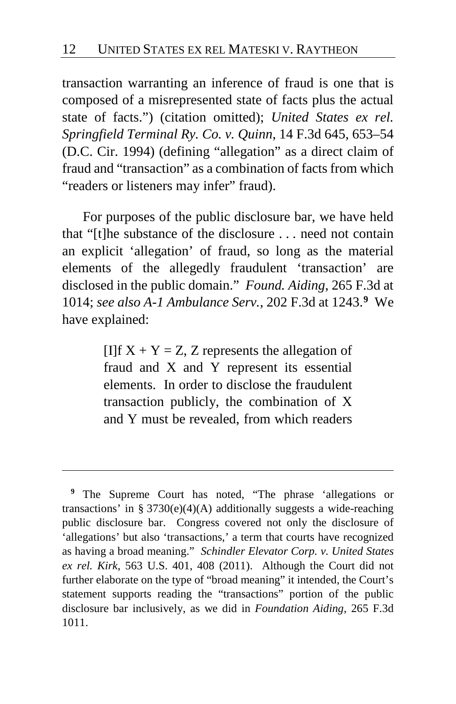transaction warranting an inference of fraud is one that is composed of a misrepresented state of facts plus the actual state of facts.") (citation omitted); *United States ex rel. Springfield Terminal Ry. Co. v. Quinn*, 14 F.3d 645, 653–54 (D.C. Cir. 1994) (defining "allegation" as a direct claim of fraud and "transaction" as a combination of facts from which "readers or listeners may infer" fraud).

For purposes of the public disclosure bar, we have held that "[t]he substance of the disclosure . . . need not contain an explicit 'allegation' of fraud, so long as the material elements of the allegedly fraudulent 'transaction' are disclosed in the public domain." *Found. Aiding*, 265 F.3d at 1014; *see also A-1 Ambulance Serv.*, 202 F.3d at 1243.**[9](#page-11-0)** We have explained:

> [I]f  $X + Y = Z$ , Z represents the allegation of fraud and X and Y represent its essential elements. In order to disclose the fraudulent transaction publicly, the combination of X and Y must be revealed, from which readers

<span id="page-11-0"></span>**<sup>9</sup>** The Supreme Court has noted, "The phrase 'allegations or transactions' in § 3730(e)(4)(A) additionally suggests a wide-reaching public disclosure bar. Congress covered not only the disclosure of 'allegations' but also 'transactions,' a term that courts have recognized as having a broad meaning." *Schindler Elevator Corp. v. United States ex rel. Kirk*, 563 U.S. 401, 408 (2011). Although the Court did not further elaborate on the type of "broad meaning" it intended, the Court's statement supports reading the "transactions" portion of the public disclosure bar inclusively, as we did in *Foundation Aiding*, 265 F.3d 1011.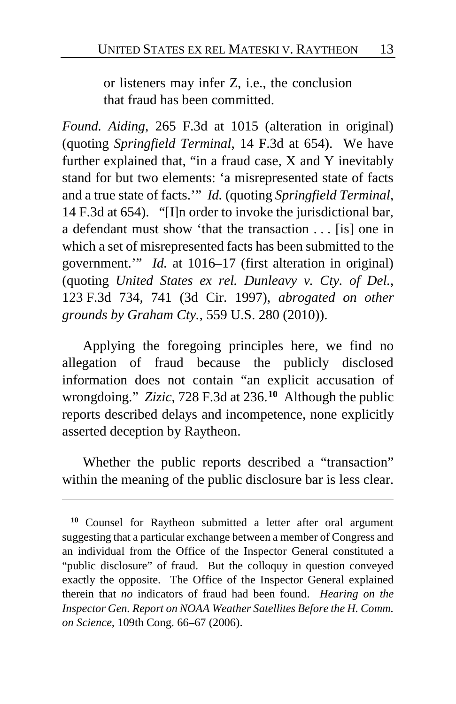or listeners may infer Z, i.e., the conclusion that fraud has been committed.

*Found. Aiding*, 265 F.3d at 1015 (alteration in original) (quoting *Springfield Terminal*, 14 F.3d at 654).We have further explained that, "in a fraud case, X and Y inevitably stand for but two elements: 'a misrepresented state of facts and a true state of facts.'" *Id.* (quoting *Springfield Terminal*, 14 F.3d at 654). "[I]n order to invoke the jurisdictional bar, a defendant must show 'that the transaction . . . [is] one in which a set of misrepresented facts has been submitted to the government.'" *Id.* at 1016–17 (first alteration in original) (quoting *United States ex rel. Dunleavy v. Cty. of Del.*, 123 F.3d 734, 741 (3d Cir. 1997), *abrogated on other grounds by Graham Cty.*, 559 U.S. 280 (2010)).

Applying the foregoing principles here, we find no allegation of fraud because the publicly disclosed information does not contain "an explicit accusation of wrongdoing." *Zizic*, 728 F.3d at 236. **[10](#page-12-0)** Although the public reports described delays and incompetence, none explicitly asserted deception by Raytheon.

Whether the public reports described a "transaction" within the meaning of the public disclosure bar is less clear.

<span id="page-12-0"></span>**<sup>10</sup>** Counsel for Raytheon submitted a letter after oral argument suggesting that a particular exchange between a member of Congress and an individual from the Office of the Inspector General constituted a "public disclosure" of fraud. But the colloquy in question conveyed exactly the opposite. The Office of the Inspector General explained therein that *no* indicators of fraud had been found. *Hearing on the Inspector Gen. Report on NOAA Weather Satellites Before the H. Comm. on Science,* 109th Cong. 66–67 (2006).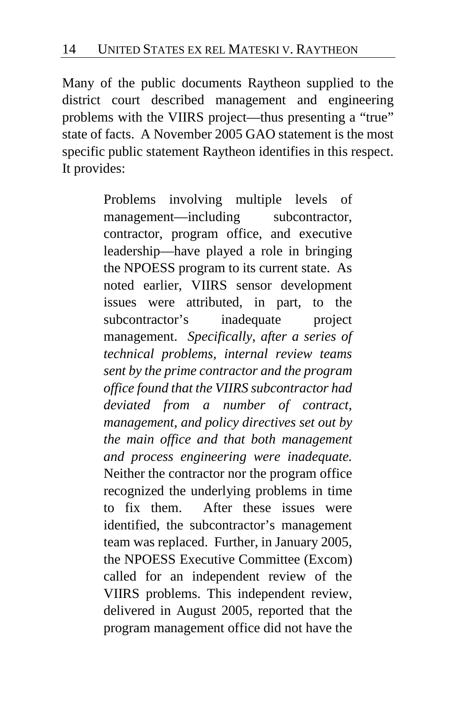Many of the public documents Raytheon supplied to the district court described management and engineering problems with the VIIRS project—thus presenting a "true" state of facts. A November 2005 GAO statement is the most specific public statement Raytheon identifies in this respect. It provides:

> Problems involving multiple levels of management—including subcontractor, contractor, program office, and executive leadership—have played a role in bringing the NPOESS program to its current state. As noted earlier, VIIRS sensor development issues were attributed, in part, to the subcontractor's inadequate project management. *Specifically, after a series of technical problems, internal review teams sent by the prime contractor and the program office found that the VIIRS subcontractor had deviated from a number of contract, management, and policy directives set out by the main office and that both management and process engineering were inadequate.* Neither the contractor nor the program office recognized the underlying problems in time to fix them. After these issues were identified, the subcontractor's management team was replaced. Further, in January 2005, the NPOESS Executive Committee (Excom) called for an independent review of the VIIRS problems. This independent review, delivered in August 2005, reported that the program management office did not have the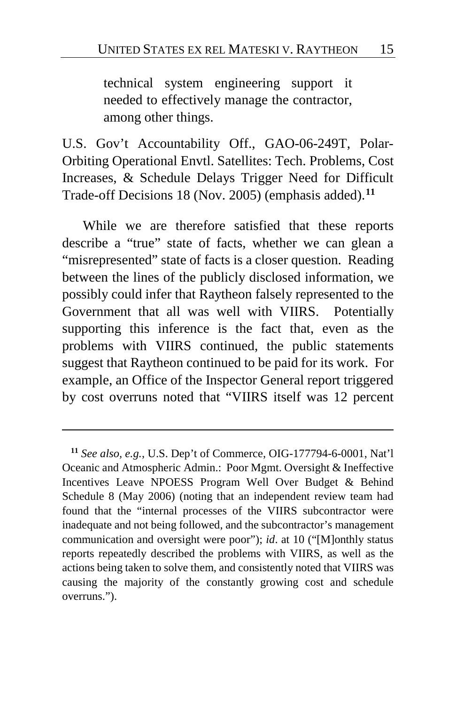technical system engineering support it needed to effectively manage the contractor, among other things.

U.S. Gov't Accountability Off., GAO-06-249T, Polar-Orbiting Operational Envtl. Satellites: Tech. Problems, Cost Increases, & Schedule Delays Trigger Need for Difficult Trade-off Decisions 18 (Nov. 2005) (emphasis added).**[11](#page-14-0)**

While we are therefore satisfied that these reports describe a "true" state of facts, whether we can glean a "misrepresented" state of facts is a closer question. Reading between the lines of the publicly disclosed information, we possibly could infer that Raytheon falsely represented to the Government that all was well with VIIRS. Potentially supporting this inference is the fact that, even as the problems with VIIRS continued, the public statements suggest that Raytheon continued to be paid for its work. For example, an Office of the Inspector General report triggered by cost overruns noted that "VIIRS itself was 12 percent

<span id="page-14-0"></span>**<sup>11</sup>** *See also, e.g.*, U.S. Dep't of Commerce, OIG-177794-6-0001, Nat'l Oceanic and Atmospheric Admin.: Poor Mgmt. Oversight & Ineffective Incentives Leave NPOESS Program Well Over Budget & Behind Schedule 8 (May 2006) (noting that an independent review team had found that the "internal processes of the VIIRS subcontractor were inadequate and not being followed, and the subcontractor's management communication and oversight were poor"); *id*. at 10 ("[M]onthly status reports repeatedly described the problems with VIIRS, as well as the actions being taken to solve them, and consistently noted that VIIRS was causing the majority of the constantly growing cost and schedule overruns.").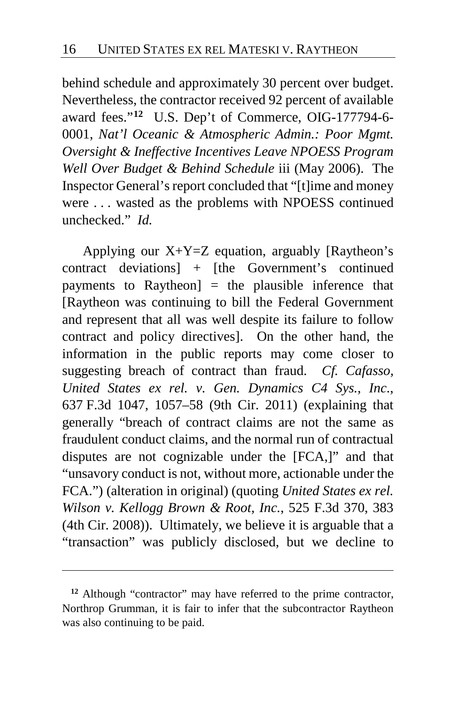behind schedule and approximately 30 percent over budget. Nevertheless, the contractor received 92 percent of available award fees."**[12](#page-15-0)** U.S. Dep't of Commerce, OIG-177794-6- 0001, *Nat'l Oceanic & Atmospheric Admin.: Poor Mgmt. Oversight & Ineffective Incentives Leave NPOESS Program Well Over Budget & Behind Schedule* iii (May 2006). The Inspector General's report concluded that "[t]ime and money were . . . wasted as the problems with NPOESS continued unchecked." *Id.*

Applying our  $X+Y=Z$  equation, arguably [Raytheon's contract deviations] + [the Government's continued payments to Raytheon $\vert$  = the plausible inference that [Raytheon was continuing to bill the Federal Government and represent that all was well despite its failure to follow contract and policy directives]. On the other hand, the information in the public reports may come closer to suggesting breach of contract than fraud. *Cf. Cafasso, United States ex rel. v. Gen. Dynamics C4 Sys., Inc*., 637 F.3d 1047, 1057–58 (9th Cir. 2011) (explaining that generally "breach of contract claims are not the same as fraudulent conduct claims, and the normal run of contractual disputes are not cognizable under the [FCA,]" and that "unsavory conduct is not, without more, actionable under the FCA.") (alteration in original) (quoting *United States ex rel. Wilson v. Kellogg Brown & Root, Inc.*, 525 F.3d 370, 383 (4th Cir. 2008)). Ultimately, we believe it is arguable that a "transaction" was publicly disclosed, but we decline to

<span id="page-15-0"></span>**<sup>12</sup>** Although "contractor" may have referred to the prime contractor, Northrop Grumman, it is fair to infer that the subcontractor Raytheon was also continuing to be paid.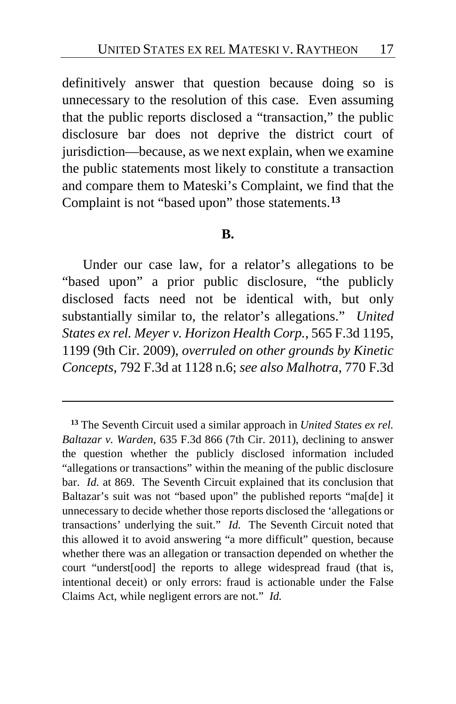definitively answer that question because doing so is unnecessary to the resolution of this case. Even assuming that the public reports disclosed a "transaction," the public disclosure bar does not deprive the district court of jurisdiction—because, as we next explain, when we examine the public statements most likely to constitute a transaction and compare them to Mateski's Complaint, we find that the Complaint is not "based upon" those statements.**[13](#page-16-0)**

#### **B.**

Under our case law, for a relator's allegations to be "based upon" a prior public disclosure, "the publicly disclosed facts need not be identical with, but only substantially similar to, the relator's allegations." *United States ex rel. Meyer v. Horizon Health Corp.*, 565 F.3d 1195, 1199 (9th Cir. 2009), *overruled on other grounds by Kinetic Concepts*, 792 F.3d at 1128 n.6; *see also Malhotra*, 770 F.3d

<span id="page-16-0"></span>**<sup>13</sup>** The Seventh Circuit used a similar approach in *United States ex rel. Baltazar v. Warden*, 635 F.3d 866 (7th Cir. 2011), declining to answer the question whether the publicly disclosed information included "allegations or transactions" within the meaning of the public disclosure bar. *Id.* at 869. The Seventh Circuit explained that its conclusion that Baltazar's suit was not "based upon" the published reports "ma[de] it unnecessary to decide whether those reports disclosed the 'allegations or transactions' underlying the suit." *Id.* The Seventh Circuit noted that this allowed it to avoid answering "a more difficult" question, because whether there was an allegation or transaction depended on whether the court "underst[ood] the reports to allege widespread fraud (that is, intentional deceit) or only errors: fraud is actionable under the False Claims Act, while negligent errors are not." *Id.*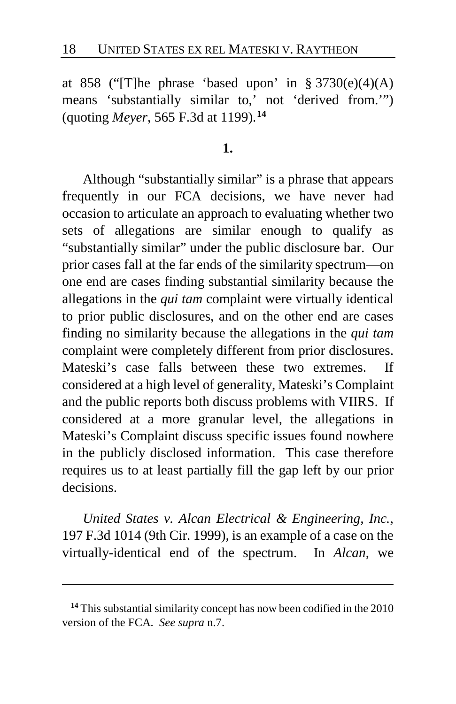at 858 ("The phrase 'based upon' in  $\S 3730(e)(4)(A)$ means 'substantially similar to,' not 'derived from.'") (quoting *Meyer*, 565 F.3d at 1199).**[14](#page-17-0)**

**1.**

Although "substantially similar" is a phrase that appears frequently in our FCA decisions, we have never had occasion to articulate an approach to evaluating whether two sets of allegations are similar enough to qualify as "substantially similar" under the public disclosure bar. Our prior cases fall at the far ends of the similarity spectrum—on one end are cases finding substantial similarity because the allegations in the *qui tam* complaint were virtually identical to prior public disclosures, and on the other end are cases finding no similarity because the allegations in the *qui tam* complaint were completely different from prior disclosures. Mateski's case falls between these two extremes. If considered at a high level of generality, Mateski's Complaint and the public reports both discuss problems with VIIRS. If considered at a more granular level, the allegations in Mateski's Complaint discuss specific issues found nowhere in the publicly disclosed information. This case therefore requires us to at least partially fill the gap left by our prior decisions.

*United States v. Alcan Electrical & Engineering, Inc.*, 197 F.3d 1014 (9th Cir. 1999), is an example of a case on the virtually-identical end of the spectrum. In *Alcan*, we

<span id="page-17-0"></span>**<sup>14</sup>** This substantial similarity concept has now been codified in the 2010 version of the FCA. *See supra* n.7.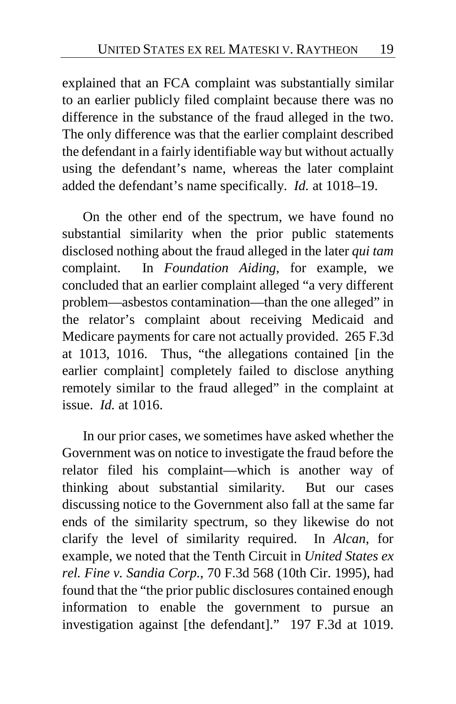explained that an FCA complaint was substantially similar to an earlier publicly filed complaint because there was no difference in the substance of the fraud alleged in the two. The only difference was that the earlier complaint described the defendant in a fairly identifiable way but without actually using the defendant's name, whereas the later complaint added the defendant's name specifically. *Id.* at 1018–19.

On the other end of the spectrum, we have found no substantial similarity when the prior public statements disclosed nothing about the fraud alleged in the later *qui tam* complaint. In *Foundation Aiding*, for example, we concluded that an earlier complaint alleged "a very different problem—asbestos contamination—than the one alleged" in the relator's complaint about receiving Medicaid and Medicare payments for care not actually provided. 265 F.3d at 1013, 1016. Thus, "the allegations contained [in the earlier complaint] completely failed to disclose anything remotely similar to the fraud alleged" in the complaint at issue. *Id.* at 1016.

In our prior cases, we sometimes have asked whether the Government was on notice to investigate the fraud before the relator filed his complaint—which is another way of thinking about substantial similarity. But our cases discussing notice to the Government also fall at the same far ends of the similarity spectrum, so they likewise do not clarify the level of similarity required. In *Alcan*, for example, we noted that the Tenth Circuit in *United States ex rel. Fine v. Sandia Corp.*, 70 F.3d 568 (10th Cir. 1995), had found that the "the prior public disclosures contained enough information to enable the government to pursue an investigation against [the defendant]." 197 F.3d at 1019.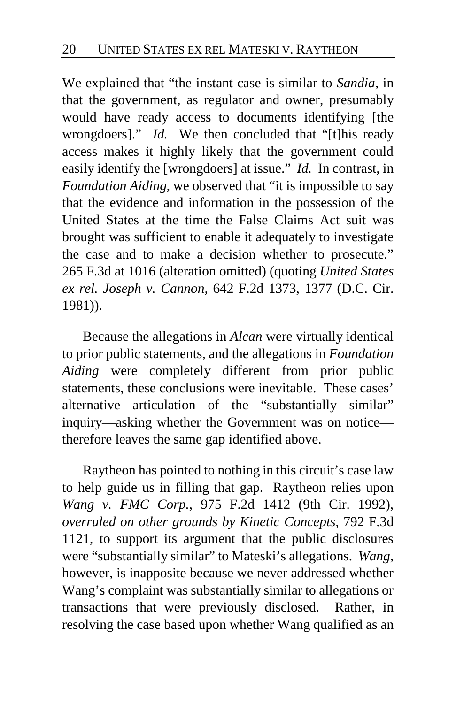We explained that "the instant case is similar to *Sandia*, in that the government, as regulator and owner, presumably would have ready access to documents identifying [the wrongdoers]." *Id.* We then concluded that "[t]his ready access makes it highly likely that the government could easily identify the [wrongdoers] at issue." *Id.* In contrast, in *Foundation Aiding*, we observed that "it is impossible to say that the evidence and information in the possession of the United States at the time the False Claims Act suit was brought was sufficient to enable it adequately to investigate the case and to make a decision whether to prosecute." 265 F.3d at 1016 (alteration omitted) (quoting *United States ex rel. Joseph v. Cannon*, 642 F.2d 1373, 1377 (D.C. Cir. 1981)).

Because the allegations in *Alcan* were virtually identical to prior public statements, and the allegations in *Foundation Aiding* were completely different from prior public statements, these conclusions were inevitable. These cases' alternative articulation of the "substantially similar" inquiry—asking whether the Government was on notice therefore leaves the same gap identified above.

Raytheon has pointed to nothing in this circuit's case law to help guide us in filling that gap. Raytheon relies upon *Wang v. FMC Corp.*, 975 F.2d 1412 (9th Cir. 1992), *overruled on other grounds by Kinetic Concepts*, 792 F.3d 1121, to support its argument that the public disclosures were "substantially similar" to Mateski's allegations. *Wang*, however, is inapposite because we never addressed whether Wang's complaint was substantially similar to allegations or transactions that were previously disclosed. Rather, in resolving the case based upon whether Wang qualified as an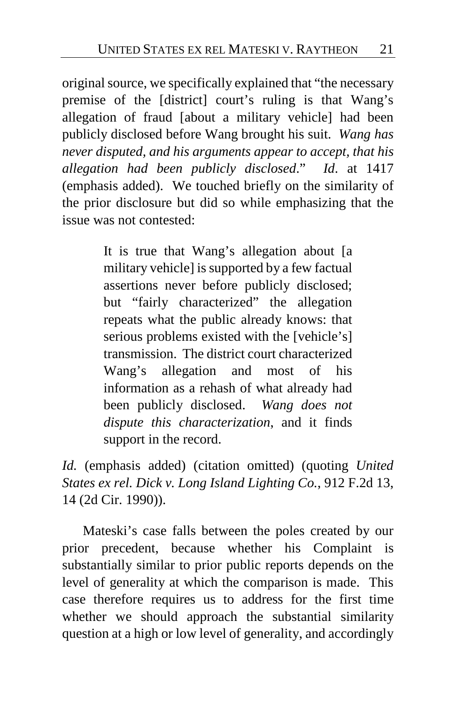original source, we specifically explained that "the necessary premise of the [district] court's ruling is that Wang's allegation of fraud [about a military vehicle] had been publicly disclosed before Wang brought his suit. *Wang has never disputed, and his arguments appear to accept, that his allegation had been publicly disclosed*." *Id*. at 1417 (emphasis added). We touched briefly on the similarity of the prior disclosure but did so while emphasizing that the issue was not contested:

> It is true that Wang's allegation about [a military vehicle] is supported by a few factual assertions never before publicly disclosed; but "fairly characterized" the allegation repeats what the public already knows: that serious problems existed with the [vehicle's] transmission. The district court characterized Wang's allegation and most of his information as a rehash of what already had been publicly disclosed. *Wang does not dispute this characterization*, and it finds support in the record.

*Id.* (emphasis added) (citation omitted) (quoting *United States ex rel. Dick v. Long Island Lighting Co.*, 912 F.2d 13, 14 (2d Cir. 1990)).

Mateski's case falls between the poles created by our prior precedent, because whether his Complaint is substantially similar to prior public reports depends on the level of generality at which the comparison is made. This case therefore requires us to address for the first time whether we should approach the substantial similarity question at a high or low level of generality, and accordingly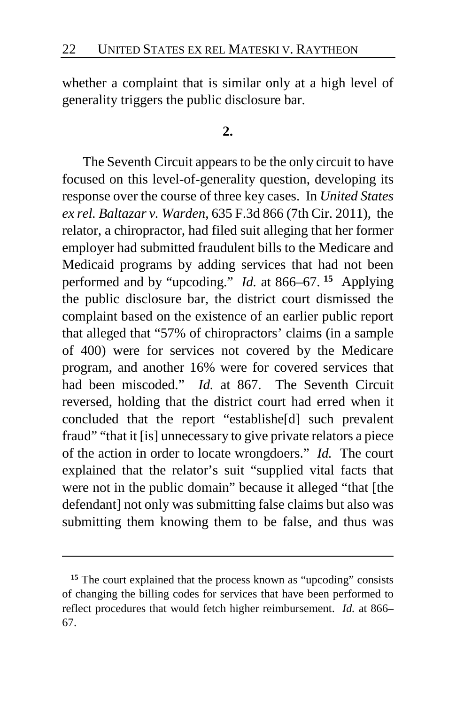whether a complaint that is similar only at a high level of generality triggers the public disclosure bar.

#### **2.**

The Seventh Circuit appears to be the only circuit to have focused on this level-of-generality question, developing its response over the course of three key cases. In *United States ex rel. Baltazar v. Warden*, 635 F.3d 866 (7th Cir. 2011), the relator, a chiropractor, had filed suit alleging that her former employer had submitted fraudulent bills to the Medicare and Medicaid programs by adding services that had not been performed and by "upcoding." *Id.* at 866–67. **[15](#page-21-0)** Applying the public disclosure bar, the district court dismissed the complaint based on the existence of an earlier public report that alleged that "57% of chiropractors' claims (in a sample of 400) were for services not covered by the Medicare program, and another 16% were for covered services that had been miscoded." *Id.* at 867. The Seventh Circuit reversed, holding that the district court had erred when it concluded that the report "establishe[d] such prevalent fraud" "that it [is] unnecessary to give private relators a piece of the action in order to locate wrongdoers." *Id.* The court explained that the relator's suit "supplied vital facts that were not in the public domain" because it alleged "that [the defendant] not only was submitting false claims but also was submitting them knowing them to be false, and thus was

<span id="page-21-0"></span>**<sup>15</sup>** The court explained that the process known as "upcoding" consists of changing the billing codes for services that have been performed to reflect procedures that would fetch higher reimbursement. *Id.* at 866– 67.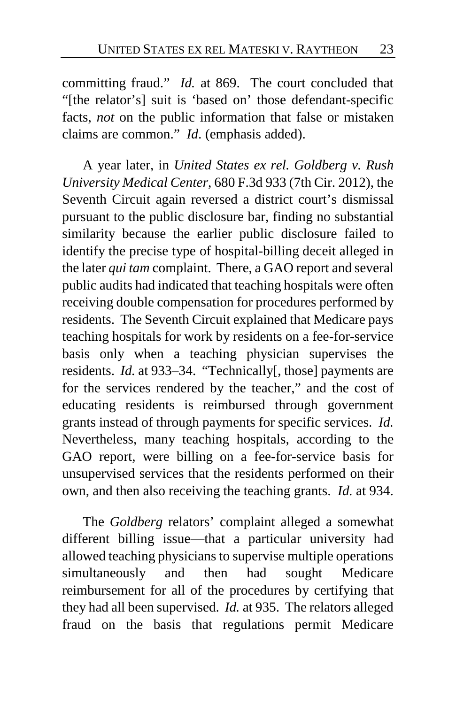committing fraud." *Id.* at 869. The court concluded that "[the relator's] suit is 'based on' those defendant-specific facts, *not* on the public information that false or mistaken claims are common." *Id*. (emphasis added).

A year later, in *United States ex rel. Goldberg v. Rush University Medical Center*, 680 F.3d 933 (7th Cir. 2012), the Seventh Circuit again reversed a district court's dismissal pursuant to the public disclosure bar, finding no substantial similarity because the earlier public disclosure failed to identify the precise type of hospital-billing deceit alleged in the later *qui tam* complaint. There, a GAO report and several public audits had indicated that teaching hospitals were often receiving double compensation for procedures performed by residents. The Seventh Circuit explained that Medicare pays teaching hospitals for work by residents on a fee-for-service basis only when a teaching physician supervises the residents. *Id.* at 933–34. "Technically[, those] payments are for the services rendered by the teacher," and the cost of educating residents is reimbursed through government grants instead of through payments for specific services. *Id.*  Nevertheless, many teaching hospitals, according to the GAO report, were billing on a fee-for-service basis for unsupervised services that the residents performed on their own, and then also receiving the teaching grants. *Id.* at 934.

The *Goldberg* relators' complaint alleged a somewhat different billing issue—that a particular university had allowed teaching physicians to supervise multiple operations simultaneously and then had sought Medicare reimbursement for all of the procedures by certifying that they had all been supervised. *Id.* at 935. The relators alleged fraud on the basis that regulations permit Medicare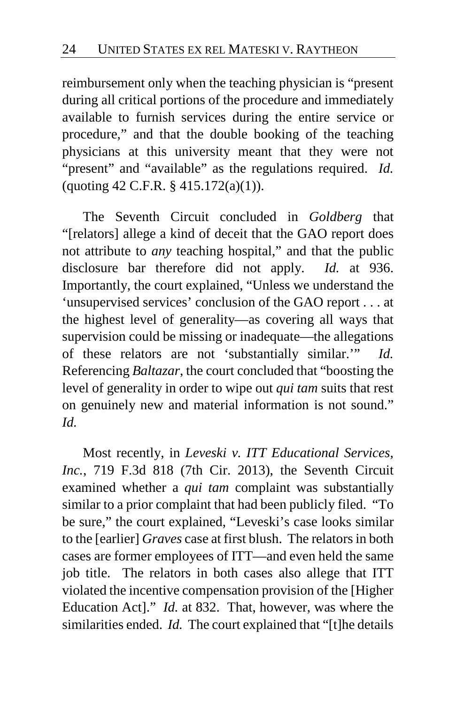reimbursement only when the teaching physician is "present during all critical portions of the procedure and immediately available to furnish services during the entire service or procedure," and that the double booking of the teaching physicians at this university meant that they were not "present" and "available" as the regulations required. *Id.*  (quoting 42 C.F.R. § 415.172(a)(1)).

The Seventh Circuit concluded in *Goldberg* that "[relators] allege a kind of deceit that the GAO report does not attribute to *any* teaching hospital," and that the public disclosure bar therefore did not apply. *Id.* at 936. Importantly, the court explained, "Unless we understand the 'unsupervised services' conclusion of the GAO report . . . at the highest level of generality—as covering all ways that supervision could be missing or inadequate—the allegations of these relators are not 'substantially similar.'" *Id.* Referencing *Baltazar*, the court concluded that "boosting the level of generality in order to wipe out *qui tam* suits that rest on genuinely new and material information is not sound." *Id.*

Most recently, in *Leveski v. ITT Educational Services, Inc.*, 719 F.3d 818 (7th Cir. 2013), the Seventh Circuit examined whether a *qui tam* complaint was substantially similar to a prior complaint that had been publicly filed. "To be sure," the court explained, "Leveski's case looks similar to the [earlier] *Graves* case at first blush. The relators in both cases are former employees of ITT—and even held the same job title. The relators in both cases also allege that ITT violated the incentive compensation provision of the [Higher Education Act]." *Id.* at 832. That, however, was where the similarities ended. *Id.* The court explained that "[t]he details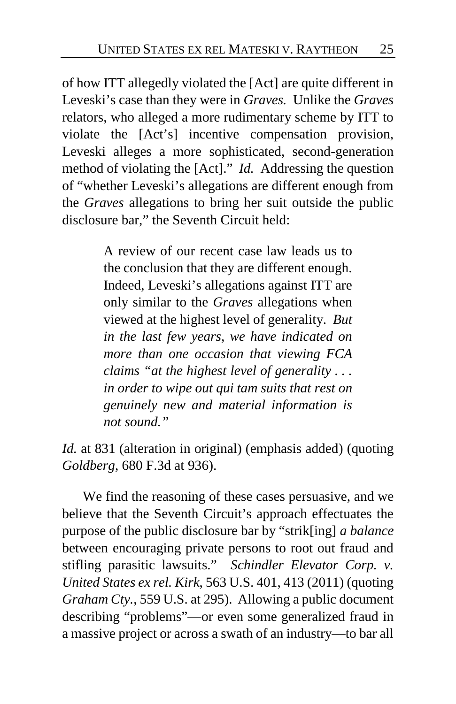of how ITT allegedly violated the [Act] are quite different in Leveski's case than they were in *Graves.* Unlike the *Graves* relators, who alleged a more rudimentary scheme by ITT to violate the [Act's] incentive compensation provision, Leveski alleges a more sophisticated, second-generation method of violating the [Act]." *Id.* Addressing the question of "whether Leveski's allegations are different enough from the *Graves* allegations to bring her suit outside the public disclosure bar," the Seventh Circuit held:

> A review of our recent case law leads us to the conclusion that they are different enough. Indeed, Leveski's allegations against ITT are only similar to the *Graves* allegations when viewed at the highest level of generality. *But in the last few years, we have indicated on more than one occasion that viewing FCA claims "at the highest level of generality . . . in order to wipe out qui tam suits that rest on genuinely new and material information is not sound."*

*Id.* at 831 (alteration in original) (emphasis added) (quoting *Goldberg*, 680 F.3d at 936).

We find the reasoning of these cases persuasive, and we believe that the Seventh Circuit's approach effectuates the purpose of the public disclosure bar by "strik[ing] *a balance* between encouraging private persons to root out fraud and stifling parasitic lawsuits." *Schindler Elevator Corp. v. United States ex rel. Kirk*, 563 U.S. 401, 413 (2011) (quoting *Graham Cty.*, 559 U.S. at 295). Allowing a public document describing "problems"—or even some generalized fraud in a massive project or across a swath of an industry—to bar all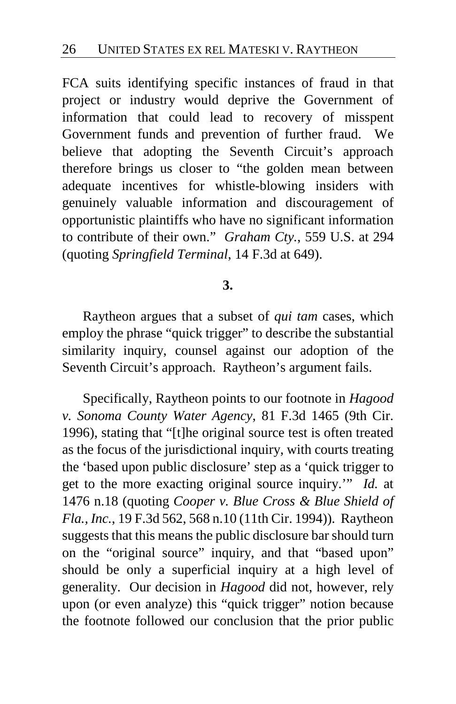FCA suits identifying specific instances of fraud in that project or industry would deprive the Government of information that could lead to recovery of misspent Government funds and prevention of further fraud. We believe that adopting the Seventh Circuit's approach therefore brings us closer to "the golden mean between adequate incentives for whistle-blowing insiders with genuinely valuable information and discouragement of opportunistic plaintiffs who have no significant information to contribute of their own." *Graham Cty.*, 559 U.S. at 294 (quoting *Springfield Terminal*, 14 F.3d at 649).

## **3.**

Raytheon argues that a subset of *qui tam* cases, which employ the phrase "quick trigger" to describe the substantial similarity inquiry, counsel against our adoption of the Seventh Circuit's approach. Raytheon's argument fails.

Specifically, Raytheon points to our footnote in *Hagood v. Sonoma County Water Agency*, 81 F.3d 1465 (9th Cir. 1996), stating that "[t]he original source test is often treated as the focus of the jurisdictional inquiry, with courts treating the 'based upon public disclosure' step as a 'quick trigger to get to the more exacting original source inquiry.'" *Id.* at 1476 n.18 (quoting *Cooper v. Blue Cross & Blue Shield of Fla., Inc.*, 19 F.3d 562, 568 n.10 (11th Cir. 1994)). Raytheon suggests that this means the public disclosure bar should turn on the "original source" inquiry, and that "based upon" should be only a superficial inquiry at a high level of generality. Our decision in *Hagood* did not, however, rely upon (or even analyze) this "quick trigger" notion because the footnote followed our conclusion that the prior public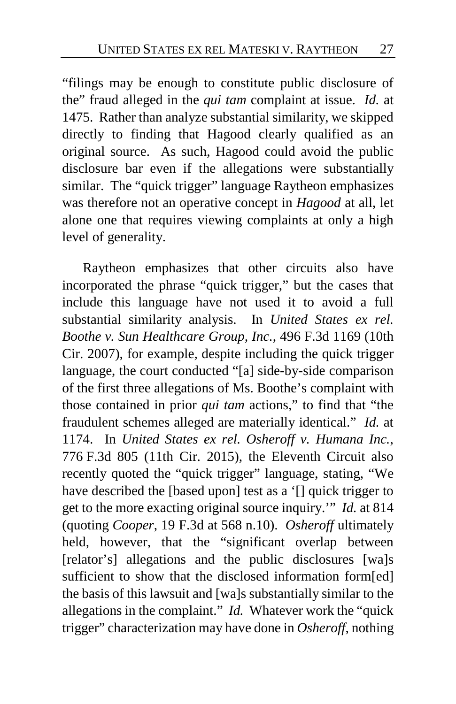"filings may be enough to constitute public disclosure of the" fraud alleged in the *qui tam* complaint at issue. *Id.* at 1475. Rather than analyze substantial similarity, we skipped directly to finding that Hagood clearly qualified as an original source. As such, Hagood could avoid the public disclosure bar even if the allegations were substantially similar. The "quick trigger" language Raytheon emphasizes was therefore not an operative concept in *Hagood* at all, let alone one that requires viewing complaints at only a high level of generality.

Raytheon emphasizes that other circuits also have incorporated the phrase "quick trigger," but the cases that include this language have not used it to avoid a full substantial similarity analysis. In *United States ex rel. Boothe v. Sun Healthcare Group, Inc.*, 496 F.3d 1169 (10th Cir. 2007), for example, despite including the quick trigger language, the court conducted "[a] side-by-side comparison of the first three allegations of Ms. Boothe's complaint with those contained in prior *qui tam* actions," to find that "the fraudulent schemes alleged are materially identical." *Id.* at 1174. In *United States ex rel. Osheroff v. Humana Inc.*, 776 F.3d 805 (11th Cir. 2015), the Eleventh Circuit also recently quoted the "quick trigger" language, stating, "We have described the [based upon] test as a '[] quick trigger to get to the more exacting original source inquiry.'" *Id.* at 814 (quoting *Cooper*, 19 F.3d at 568 n.10). *Osheroff* ultimately held, however, that the "significant overlap between [relator's] allegations and the public disclosures [wa]s sufficient to show that the disclosed information form[ed] the basis of this lawsuit and [wa]s substantially similar to the allegations in the complaint." *Id.* Whatever work the "quick trigger" characterization may have done in *Osheroff*, nothing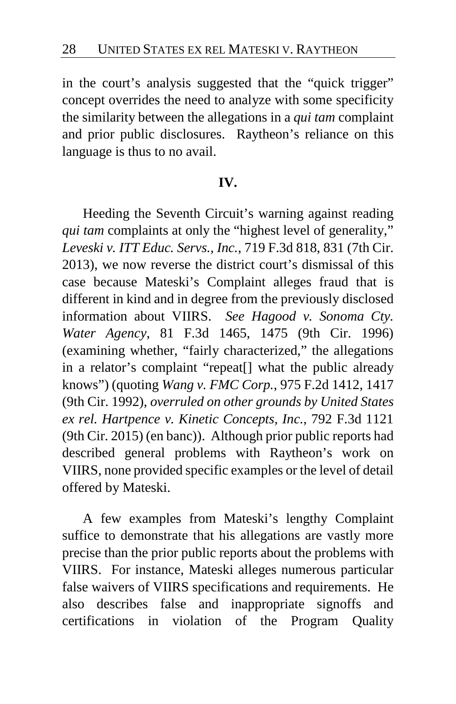in the court's analysis suggested that the "quick trigger" concept overrides the need to analyze with some specificity the similarity between the allegations in a *qui tam* complaint and prior public disclosures. Raytheon's reliance on this language is thus to no avail.

## **IV.**

Heeding the Seventh Circuit's warning against reading *qui tam* complaints at only the "highest level of generality," *Leveski v. ITT Educ. Servs., Inc.*, 719 F.3d 818, 831 (7th Cir. 2013), we now reverse the district court's dismissal of this case because Mateski's Complaint alleges fraud that is different in kind and in degree from the previously disclosed information about VIIRS. *See Hagood v. Sonoma Cty. Water Agency*, 81 F.3d 1465, 1475 (9th Cir. 1996) (examining whether, "fairly characterized," the allegations in a relator's complaint "repeat[] what the public already knows") (quoting *Wang v. FMC Corp.*, 975 F.2d 1412, 1417 (9th Cir. 1992), *overruled on other grounds by United States ex rel. Hartpence v. Kinetic Concepts, Inc.*, 792 F.3d 1121 (9th Cir. 2015) (en banc)). Although prior public reports had described general problems with Raytheon's work on VIIRS, none provided specific examples or the level of detail offered by Mateski.

A few examples from Mateski's lengthy Complaint suffice to demonstrate that his allegations are vastly more precise than the prior public reports about the problems with VIIRS. For instance, Mateski alleges numerous particular false waivers of VIIRS specifications and requirements. He also describes false and inappropriate signoffs and certifications in violation of the Program Quality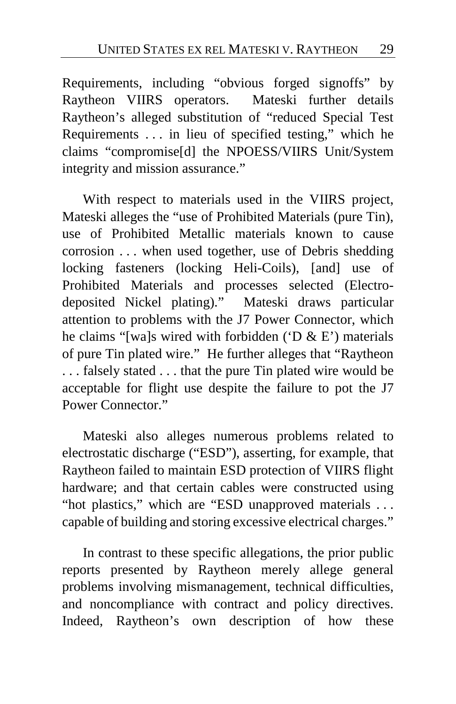Requirements, including "obvious forged signoffs" by Raytheon VIIRS operators.Mateski further details Raytheon's alleged substitution of "reduced Special Test Requirements . . . in lieu of specified testing," which he claims "compromise[d] the NPOESS/VIIRS Unit/System integrity and mission assurance."

With respect to materials used in the VIIRS project, Mateski alleges the "use of Prohibited Materials (pure Tin), use of Prohibited Metallic materials known to cause corrosion . . . when used together, use of Debris shedding locking fasteners (locking Heli-Coils), [and] use of Prohibited Materials and processes selected (Electrodeposited Nickel plating)."Mateski draws particular attention to problems with the J7 Power Connector, which he claims "[wa]s wired with forbidden ('D & E') materials of pure Tin plated wire." He further alleges that "Raytheon . . . falsely stated . . . that the pure Tin plated wire would be acceptable for flight use despite the failure to pot the J7 Power Connector."

Mateski also alleges numerous problems related to electrostatic discharge ("ESD"), asserting, for example, that Raytheon failed to maintain ESD protection of VIIRS flight hardware; and that certain cables were constructed using "hot plastics," which are "ESD unapproved materials ... capable of building and storing excessive electrical charges."

In contrast to these specific allegations, the prior public reports presented by Raytheon merely allege general problems involving mismanagement, technical difficulties, and noncompliance with contract and policy directives. Indeed, Raytheon's own description of how these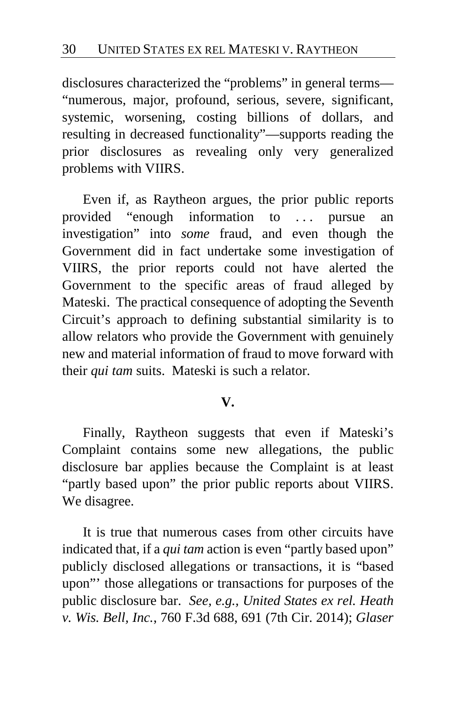disclosures characterized the "problems" in general terms— "numerous, major, profound, serious, severe, significant, systemic, worsening, costing billions of dollars, and resulting in decreased functionality"—supports reading the prior disclosures as revealing only very generalized problems with VIIRS.

Even if, as Raytheon argues, the prior public reports provided "enough information to . . . pursue an investigation" into *some* fraud, and even though the Government did in fact undertake some investigation of VIIRS, the prior reports could not have alerted the Government to the specific areas of fraud alleged by Mateski. The practical consequence of adopting the Seventh Circuit's approach to defining substantial similarity is to allow relators who provide the Government with genuinely new and material information of fraud to move forward with their *qui tam* suits. Mateski is such a relator.

## **V.**

Finally, Raytheon suggests that even if Mateski's Complaint contains some new allegations, the public disclosure bar applies because the Complaint is at least "partly based upon" the prior public reports about VIIRS. We disagree.

It is true that numerous cases from other circuits have indicated that, if a *qui tam* action is even "partly based upon" publicly disclosed allegations or transactions, it is "based upon"' those allegations or transactions for purposes of the public disclosure bar. *See, e.g., United States ex rel. Heath v. Wis. Bell, Inc.*, 760 F.3d 688, 691 (7th Cir. 2014); *Glaser*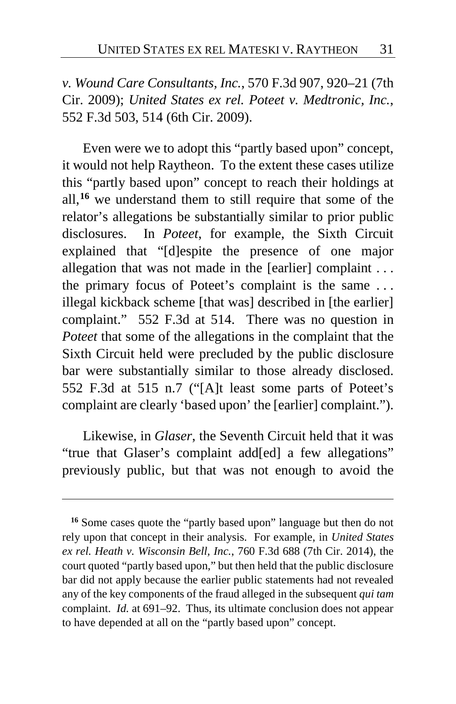*v. Wound Care Consultants, Inc.*, 570 F.3d 907, 920–21 (7th Cir. 2009); *United States ex rel. Poteet v. Medtronic, Inc.*, 552 F.3d 503, 514 (6th Cir. 2009).

Even were we to adopt this "partly based upon" concept, it would not help Raytheon. To the extent these cases utilize this "partly based upon" concept to reach their holdings at all,**[16](#page-30-0)** we understand them to still require that some of the relator's allegations be substantially similar to prior public disclosures. In *Poteet*, for example, the Sixth Circuit explained that "[d]espite the presence of one major allegation that was not made in the [earlier] complaint . . . the primary focus of Poteet's complaint is the same . . . illegal kickback scheme [that was] described in [the earlier] complaint." 552 F.3d at 514. There was no question in *Poteet* that some of the allegations in the complaint that the Sixth Circuit held were precluded by the public disclosure bar were substantially similar to those already disclosed. 552 F.3d at 515 n.7 ("[A]t least some parts of Poteet's complaint are clearly 'based upon' the [earlier] complaint.").

Likewise, in *Glaser*, the Seventh Circuit held that it was "true that Glaser's complaint add[ed] a few allegations" previously public, but that was not enough to avoid the

<span id="page-30-0"></span>**<sup>16</sup>** Some cases quote the "partly based upon" language but then do not rely upon that concept in their analysis. For example, in *United States ex rel. Heath v. Wisconsin Bell, Inc.*, 760 F.3d 688 (7th Cir. 2014), the court quoted "partly based upon," but then held that the public disclosure bar did not apply because the earlier public statements had not revealed any of the key components of the fraud alleged in the subsequent *qui tam* complaint. *Id.* at 691–92. Thus, its ultimate conclusion does not appear to have depended at all on the "partly based upon" concept.